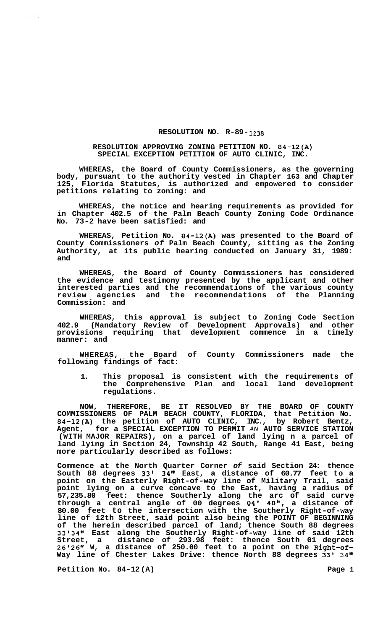## **RESOLUTION NO. R-89- 1238**

## **RESOLUTION APPROVING ZONING PETITION NO. 84-12(A) SPECIAL EXCEPTION PETITION OF AUTO CLINIC, INC.**

**WHEREAS, the Board of County Commissioners, as the governing body, pursuant to the authority vested in Chapter 163 and Chapter 125, Florida Statutes, is authorized and empowered to consider petitions relating to zoning: and** 

**WHEREAS, the notice and hearing requirements as provided for in Chapter 402.5 of the Palm Beach County Zoning Code Ordinance No. 73-2 have been satisfied: and** 

**WHEREAS, Petition No. 84-12(A) was presented to the Board of County Commissioners** *of* **Palm Beach County, sitting as the Zoning Authority, at its public hearing conducted on January 31, 1989: and** 

**WHEREAS, the Board of County Commissioners has considered the evidence and testimony presented by the applicant and other interested parties and the recommendations of the various county review agencies and the recommendations of the Planning Commission: and** 

**WHEREAS, this approval is subject to Zoning Code Section 402.9 (Mandatory Review of Development Approvals) and other provisions requiring that development commence in a timely manner: and** 

**WHEREAS, the Board of County Commissioners made the following findings of fact:** 

**1. This proposal is consistent with the requirements of the Comprehensive Plan and local land development regulations.** 

**NOW, THEREFORE, BE IT RESOLVED BY THE BOARD OF COUNTY COMMISSIONERS OF PALM BEACH COUNTY, FLORIDA, that Petition No. 84-12(A) the petition of AUTO CLINIC, INC., by Robert Bentz, Agent, for a SPECIAL EXCEPTION TO PERMIT** *AN* **AUTO SERVICE STATION (WITH MAJOR REPAIRS), on a parcel of land lying n a parcel of land lying in Section 24, Township 42 South, Range 41 East, being more particularly described as follows:** 

**Commence at the North Quarter Corner** *of* **said Section 24: thence South 88 degrees 33' 34" East, a distance of 60.77 feet to a point on the Easterly Right-of-way line of Military Trail, said point lying on a curve concave to the East, having a radius of 57,235.80 feet: thence Southerly along the arc of said curve through a central angle of 00 degrees 04' 48", a distance of 80.00 feet to the intersection with the Southerly Right-of-way line of 12th Street, said point also being the POINT OF BEGINNING of the herein described parcel of land; thence South 88 degrees 33s34s1 East along the Southerly Right-of-way line of said 12th Street, a distance of 293.98 feet: thence South 01 degrees**  Street, a distance of 293.98 feet: thence South 01 degrees<br>26'26" W, a distance of 250.00 feet to a point on the Right-of-**Way line of Chester Lakes Drive: thence North 88 degrees 33' 34"** 

Petition No. 84-12(A) **Page 1 Page 1**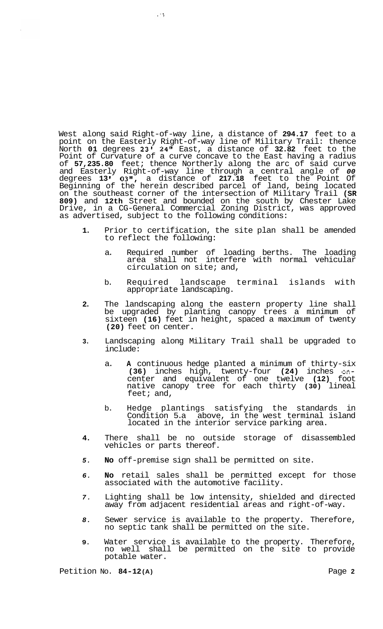West along said Right-of-way line, a distance of **294.17** feet to a point on the Easterly Right-of-way line of Military Trail: thence North **01** degrees **23' 24"** East, a distance of **32.82** feet to the Point of Curvature of a curve concave to the East having a radius of **57,235.80** feet; thence Northerly along the arc of said curve and Easterly Right-of-way line through a central angle of *00*  degrees **13 I 03",** a distance of **217.18** feet to the Point Of Beginning of the herein described parcel of land, being located on the southeast corner of the intersection of Military Trail **(SR 809)** and **12th** Street and bounded on the south by Chester Lake Drive, in a CG-General Commercial Zoning District, was approved as advertised, subject to the following conditions:

 $\mathcal{L}^{\mathcal{L}}$ 

- **1.** Prior to certification, the site plan shall be amended to reflect the following:
	- a. Required number of loading berths. The loading area shall not interfere with normal vehicular circulation on site; and,
	- b. Required landscape terminal islands with appropriate landscaping.
- **2.** The landscaping along the eastern property line shall be upgraded by planting canopy trees a minimum of sixteen **(16)** feet in height, spaced a maximum of twenty **(20)** feet on center.
- **3.** Landscaping along Military Trail shall be upgraded to include:
	- a. **A** continuous hedge planted a minimum of thirty-six **(36)** inches high, twenty-four **(24)** inches oncenter and equivalent of one twelve **(12)** foot native canopy tree for each thirty **(30)** lineal feet; and,
	- b. Hedge plantings satisfying the standards in Condition 5.a above, in the west terminal island located in the interior service parking area.
- **4.** There shall be no outside storage of disassembled vehicles or parts thereof.
- *5.* **No** off-premise sign shall be permitted on site.
- *6.* **No** retail sales shall be permitted except for those associated with the automotive facility.
- *7.* Lighting shall be low intensity, shielded and directed away from adjacent residential areas and right-of-way.
- *8.* Sewer service is available to the property. Therefore, no septic tank shall be permitted on the site.
- **9.** Water service is available to the property. Therefore, no well shall be permitted on the site to provide potable water.

Petition No. **84-12 (A)** Page **2**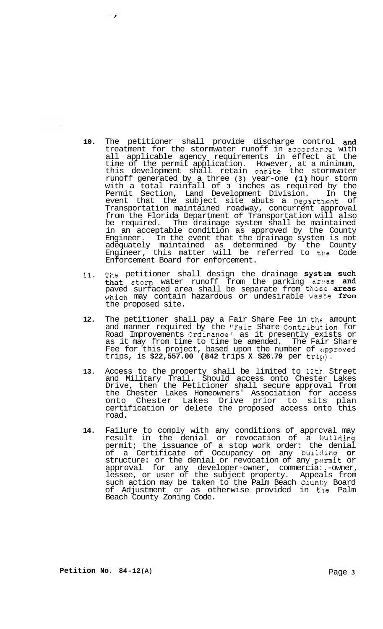- **10.** The petitioner shall provide discharge control and treatment for the stormwater runoff in accordanze with all applicable agency requirements in effect at the time of the permit application. However, at a minimum, this development shall retain onsite the stormwater runoff generated by a three **(3)** year-one **(1)** hour storm with a total rainfall of **3** inches as required by the Permit Section, Land Development Division. In the event that the subject site abuts a Departnent of Transportation maintained roadway, concurrent approval from the Florida Department of Transportation will also be required. The drainage system shall be maintained in an acceptable condition as approved by the County Engineer. In the event that the drainage system is not adequately maintained as determined by the County Engineer, this matter will be referred to tile Code Enforcement Board for enforcement.
- 11. The petitioner shall design the drainage system such that storm water runoff from the parking areas and paved surfaced area shall be separate from those **areas** which may contain hazardous or undesirable waste from the proposed site.
- 12. The petitioner shall pay a Fair Share Fee in the amount and manner required by the "Fair Share Contribut.ion for Road Improvements Ordinance" as it presently exists or as it may from time to time be amended. The Fair Share Fee for this project, based upon the number of zipproved trips, is **\$22,557.00 (842** trips **X \$26.79** per trill).
- **13.** Access to the property shall be limited to 12tt. Street and Military Trail. Should access onto Chester Lakes Drive, then the Petitioner shall secure approval from the Chester Lakes Homeowners' Association for access onto Chester Lakes Drive prior to sits plan certification or delete the proposed access onto this road.
- **14.** Failure to comply with any conditions of apprcval may result in the denial or revocation of a huilding permit; the issuance of a stop work order: the denial of a Certificate of Occupancy on any building **or**  structure: or the denial or revocation of any pwmit or approval for any developer-owner, commercia:.-owner, lessee, or user of the subject property. Appeals from such action may be taken to the Palm Beach County Board of Adjustment or as otherwise provided in **t:ne** Palm Beach County Zoning Code.

 $\sim 10^4$